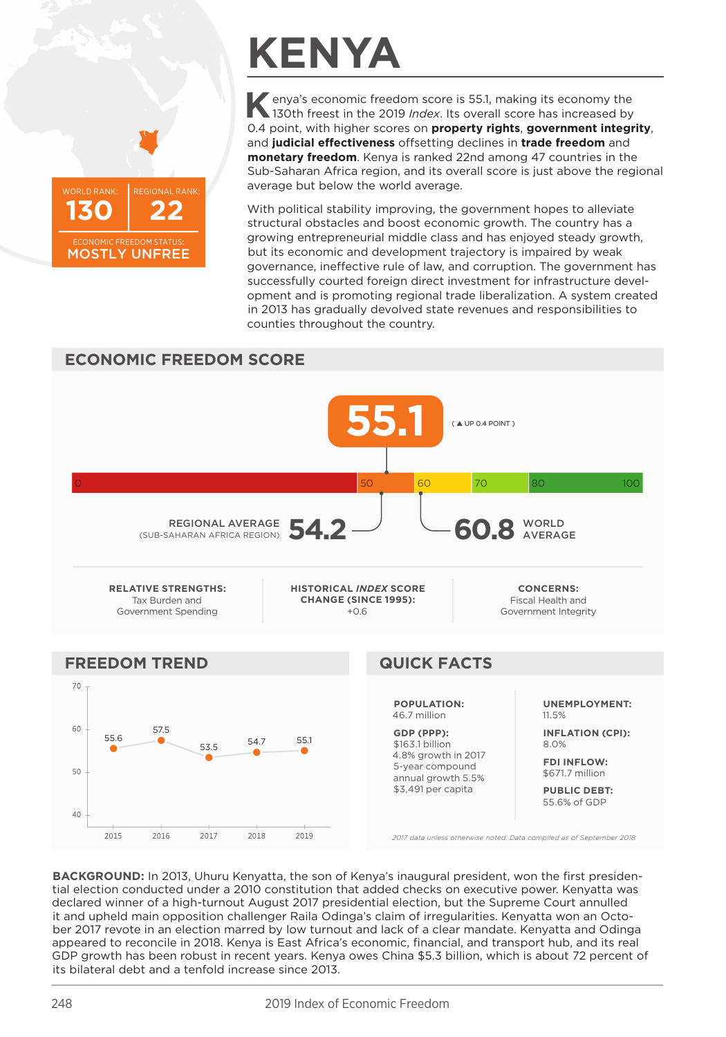

## **KENYA**

enya's economic freedom score is 55.1, making its economy the 130th freest in the 2019 Index. Its overall score has increased by 0.4 point, with higher scores on property rights, government integrity, and judicial effectiveness offsetting declines in trade freedom and monetary freedom. Kenya is ranked 22nd among 47 countries in the Sub-Saharan Africa region, and its overall score is just above the regional average but below the world average.

With political stability improving, the government hopes to alleviate structural obstacles and boost economic growth. The country has a growing entrepreneurial middle class and has enjoyed steady growth, but its economic and development trajectory is impaired by weak governance, ineffective rule of law, and corruption. The government has successfully courted foreign direct investment for infrastructure development and is promoting regional trade liberalization. A system created in 2013 has gradually devolved state revenues and responsibilities to counties throughout the country.



BACKGROUND: In 2013, Uhuru Kenyatta, the son of Kenya's inaugural president, won the first presidential election conducted under a 2010 constitution that added checks on executive power. Kenyatta was declared winner of a high-turnout August 2017 presidential election, but the Supreme Court annulled it and upheld main opposition challenger Raila Odinga's claim of irregularities. Kenyatta won an October 2017 revote in an election marred by low turnout and lack of a clear mandate. Kenyatta and Odinga appeared to reconcile in 2018. Kenya is East Africa's economic, financial, and transport hub, and its real GDP growth has been robust in recent years. Kenya owes China \$5.3 billion, which is about 72 percent of its bilateral debt and a tenfold increase since 2013.